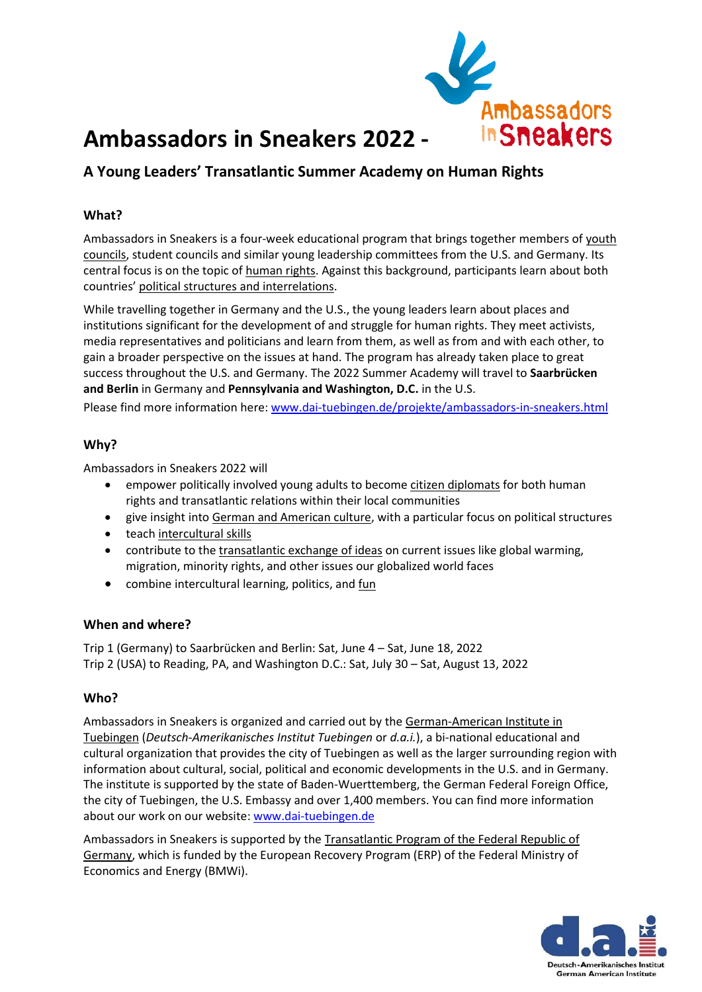

# **Ambassadors in Sneakers 2022 -**

## **A Young Leaders' Transatlantic Summer Academy on Human Rights**

### **What?**

Ambassadors in Sneakers is a four-week educational program that brings together members of youth councils, student councils and similar young leadership committees from the U.S. and Germany. Its central focus is on the topic of human rights. Against this background, participants learn about both countries' political structures and interrelations.

While travelling together in Germany and the U.S., the young leaders learn about places and institutions significant for the development of and struggle for human rights. They meet activists, media representatives and politicians and learn from them, as well as from and with each other, to gain a broader perspective on the issues at hand. The program has already taken place to great success throughout the U.S. and Germany. The 2022 Summer Academy will travel to **Saarbrücken and Berlin** in Germany and **Pennsylvania and Washington, D.C.** in the U.S.

Please find more information here: [www.dai-tuebingen.de/projekte/ambassadors-in-sneakers.html](http://www.dai-tuebingen.de/projekte/ambassadors-in-sneakers.html)

#### **Why?**

Ambassadors in Sneakers 2022 will

- empower politically involved young adults to become citizen diplomats for both human rights and transatlantic relations within their local communities
- give insight into German and American culture, with a particular focus on political structures
- teach intercultural skills
- contribute to the transatlantic exchange of ideas on current issues like global warming, migration, minority rights, and other issues our globalized world faces
- combine intercultural learning, politics, and fun

#### **When and where?**

Trip 1 (Germany) to Saarbrücken and Berlin: Sat, June 4 – Sat, June 18, 2022 Trip 2 (USA) to Reading, PA, and Washington D.C.: Sat, July 30 – Sat, August 13, 2022

#### **Who?**

Ambassadors in Sneakers is organized and carried out by the German-American Institute in Tuebingen (*Deutsch-Amerikanisches Institut Tuebingen* or *d.a.i.*), a bi-national educational and cultural organization that provides the city of Tuebingen as well as the larger surrounding region with information about cultural, social, political and economic developments in the U.S. and in Germany. The institute is supported by the state of Baden-Wuerttemberg, the German Federal Foreign Office, the city of Tuebingen, the U.S. Embassy and over 1,400 members. You can find more information about our work on our website: [www.dai-tuebingen.de](http://www.dai-tuebingen.de/)

Ambassadors in Sneakers is supported by the Transatlantic Program of the Federal Republic of Germany, which is funded by the European Recovery Program (ERP) of the Federal Ministry of Economics and Energy (BMWi).